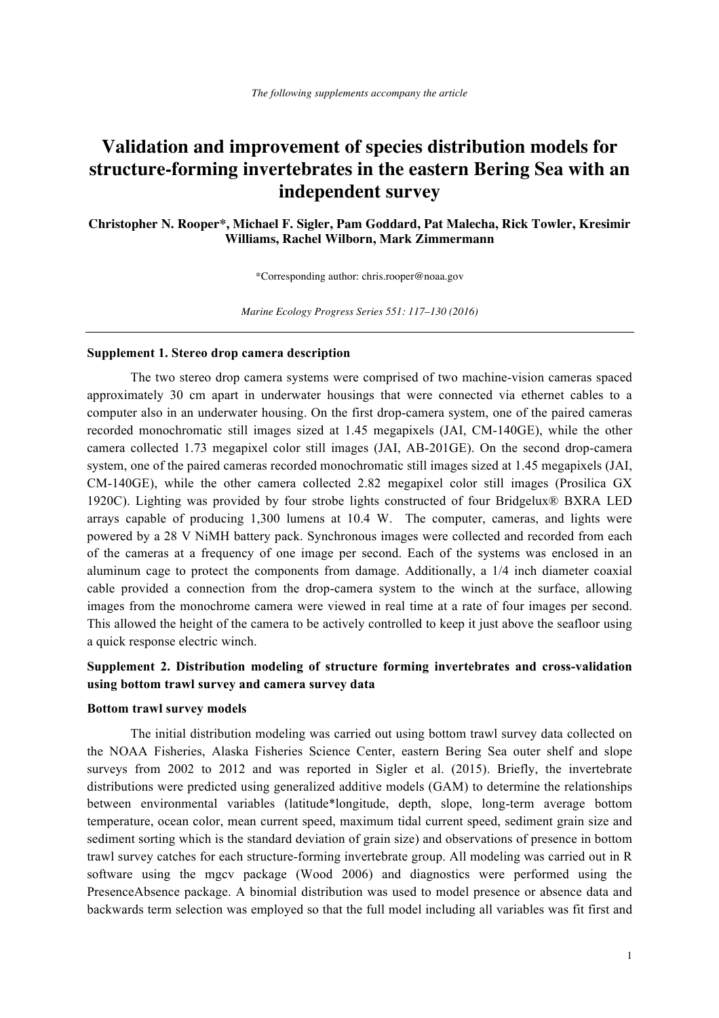# **Validation and improvement of species distribution models for structure-forming invertebrates in the eastern Bering Sea with an independent survey**

**Christopher N. Rooper\*, Michael F. Sigler, Pam Goddard, Pat Malecha, Rick Towler, Kresimir Williams, Rachel Wilborn, Mark Zimmermann**

\*Corresponding author: chris.rooper@noaa.gov

*Marine Ecology Progress Series 551: 117–130 (2016)*

#### **Supplement 1. Stereo drop camera description**

The two stereo drop camera systems were comprised of two machine-vision cameras spaced approximately 30 cm apart in underwater housings that were connected via ethernet cables to a computer also in an underwater housing. On the first drop-camera system, one of the paired cameras recorded monochromatic still images sized at 1.45 megapixels (JAI, CM-140GE), while the other camera collected 1.73 megapixel color still images (JAI, AB-201GE). On the second drop-camera system, one of the paired cameras recorded monochromatic still images sized at 1.45 megapixels (JAI, CM-140GE), while the other camera collected 2.82 megapixel color still images (Prosilica GX 1920C). Lighting was provided by four strobe lights constructed of four Bridgelux® BXRA LED arrays capable of producing 1,300 lumens at 10.4 W. The computer, cameras, and lights were powered by a 28 V NiMH battery pack. Synchronous images were collected and recorded from each of the cameras at a frequency of one image per second. Each of the systems was enclosed in an aluminum cage to protect the components from damage. Additionally, a 1/4 inch diameter coaxial cable provided a connection from the drop-camera system to the winch at the surface, allowing images from the monochrome camera were viewed in real time at a rate of four images per second. This allowed the height of the camera to be actively controlled to keep it just above the seafloor using a quick response electric winch.

## **Supplement 2. Distribution modeling of structure forming invertebrates and cross-validation using bottom trawl survey and camera survey data**

### **Bottom trawl survey models**

The initial distribution modeling was carried out using bottom trawl survey data collected on the NOAA Fisheries, Alaska Fisheries Science Center, eastern Bering Sea outer shelf and slope surveys from 2002 to 2012 and was reported in Sigler et al. (2015). Briefly, the invertebrate distributions were predicted using generalized additive models (GAM) to determine the relationships between environmental variables (latitude\*longitude, depth, slope, long-term average bottom temperature, ocean color, mean current speed, maximum tidal current speed, sediment grain size and sediment sorting which is the standard deviation of grain size) and observations of presence in bottom trawl survey catches for each structure-forming invertebrate group. All modeling was carried out in R software using the mgcv package (Wood 2006) and diagnostics were performed using the PresenceAbsence package. A binomial distribution was used to model presence or absence data and backwards term selection was employed so that the full model including all variables was fit first and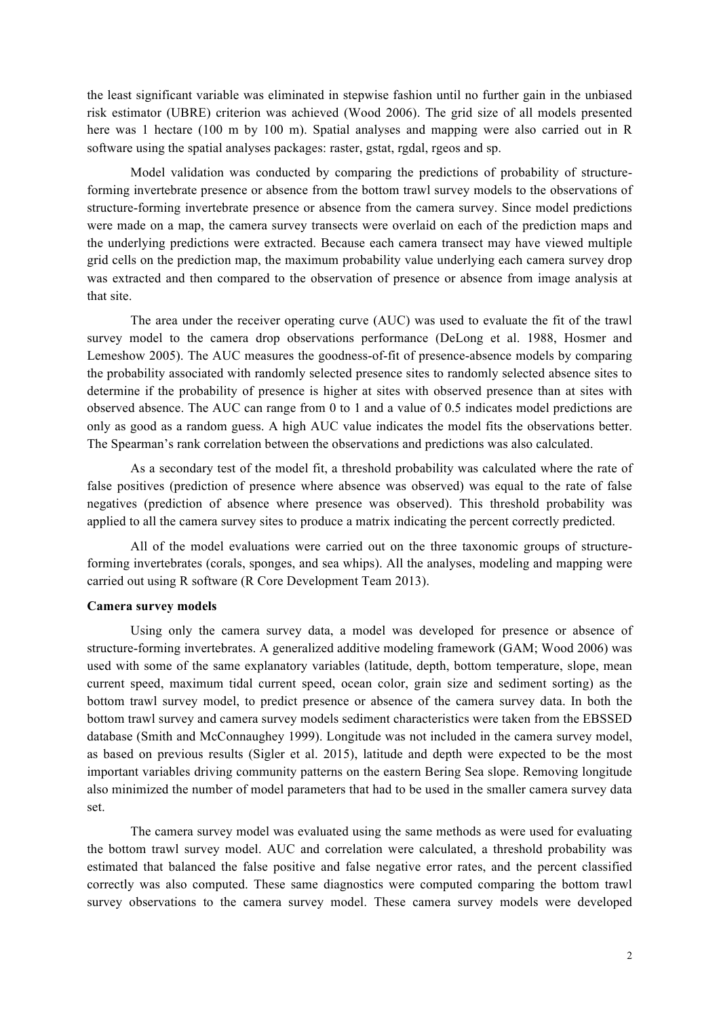the least significant variable was eliminated in stepwise fashion until no further gain in the unbiased risk estimator (UBRE) criterion was achieved (Wood 2006). The grid size of all models presented here was 1 hectare (100 m by 100 m). Spatial analyses and mapping were also carried out in R software using the spatial analyses packages: raster, gstat, rgdal, rgeos and sp.

Model validation was conducted by comparing the predictions of probability of structureforming invertebrate presence or absence from the bottom trawl survey models to the observations of structure-forming invertebrate presence or absence from the camera survey. Since model predictions were made on a map, the camera survey transects were overlaid on each of the prediction maps and the underlying predictions were extracted. Because each camera transect may have viewed multiple grid cells on the prediction map, the maximum probability value underlying each camera survey drop was extracted and then compared to the observation of presence or absence from image analysis at that site.

The area under the receiver operating curve (AUC) was used to evaluate the fit of the trawl survey model to the camera drop observations performance (DeLong et al. 1988, Hosmer and Lemeshow 2005). The AUC measures the goodness-of-fit of presence-absence models by comparing the probability associated with randomly selected presence sites to randomly selected absence sites to determine if the probability of presence is higher at sites with observed presence than at sites with observed absence. The AUC can range from 0 to 1 and a value of 0.5 indicates model predictions are only as good as a random guess. A high AUC value indicates the model fits the observations better. The Spearman's rank correlation between the observations and predictions was also calculated.

As a secondary test of the model fit, a threshold probability was calculated where the rate of false positives (prediction of presence where absence was observed) was equal to the rate of false negatives (prediction of absence where presence was observed). This threshold probability was applied to all the camera survey sites to produce a matrix indicating the percent correctly predicted.

All of the model evaluations were carried out on the three taxonomic groups of structureforming invertebrates (corals, sponges, and sea whips). All the analyses, modeling and mapping were carried out using R software (R Core Development Team 2013).

## **Camera survey models**

Using only the camera survey data, a model was developed for presence or absence of structure-forming invertebrates. A generalized additive modeling framework (GAM; Wood 2006) was used with some of the same explanatory variables (latitude, depth, bottom temperature, slope, mean current speed, maximum tidal current speed, ocean color, grain size and sediment sorting) as the bottom trawl survey model, to predict presence or absence of the camera survey data. In both the bottom trawl survey and camera survey models sediment characteristics were taken from the EBSSED database (Smith and McConnaughey 1999). Longitude was not included in the camera survey model, as based on previous results (Sigler et al. 2015), latitude and depth were expected to be the most important variables driving community patterns on the eastern Bering Sea slope. Removing longitude also minimized the number of model parameters that had to be used in the smaller camera survey data set.

The camera survey model was evaluated using the same methods as were used for evaluating the bottom trawl survey model. AUC and correlation were calculated, a threshold probability was estimated that balanced the false positive and false negative error rates, and the percent classified correctly was also computed. These same diagnostics were computed comparing the bottom trawl survey observations to the camera survey model. These camera survey models were developed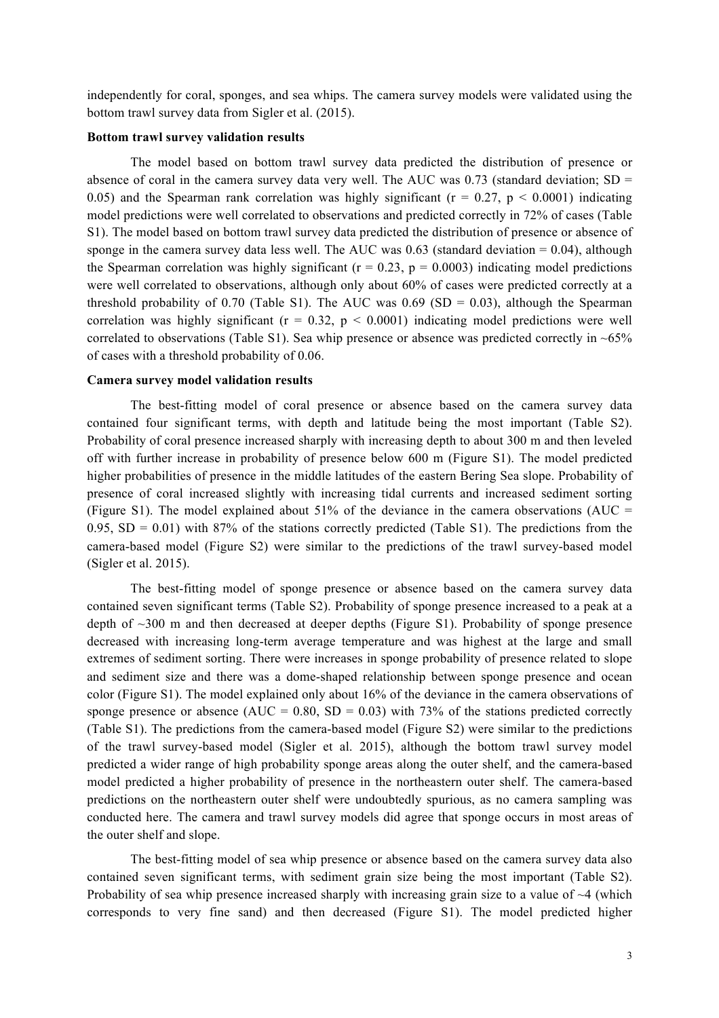independently for coral, sponges, and sea whips. The camera survey models were validated using the bottom trawl survey data from Sigler et al. (2015).

### **Bottom trawl survey validation results**

The model based on bottom trawl survey data predicted the distribution of presence or absence of coral in the camera survey data very well. The AUC was 0.73 (standard deviation;  $SD =$ 0.05) and the Spearman rank correlation was highly significant ( $r = 0.27$ ,  $p < 0.0001$ ) indicating model predictions were well correlated to observations and predicted correctly in 72% of cases (Table S1). The model based on bottom trawl survey data predicted the distribution of presence or absence of sponge in the camera survey data less well. The AUC was  $0.63$  (standard deviation = 0.04), although the Spearman correlation was highly significant ( $r = 0.23$ ,  $p = 0.0003$ ) indicating model predictions were well correlated to observations, although only about 60% of cases were predicted correctly at a threshold probability of 0.70 (Table S1). The AUC was 0.69 (SD = 0.03), although the Spearman correlation was highly significant ( $r = 0.32$ ,  $p < 0.0001$ ) indicating model predictions were well correlated to observations (Table S1). Sea whip presence or absence was predicted correctly in  $\sim 65\%$ of cases with a threshold probability of 0.06.

### **Camera survey model validation results**

The best-fitting model of coral presence or absence based on the camera survey data contained four significant terms, with depth and latitude being the most important (Table S2). Probability of coral presence increased sharply with increasing depth to about 300 m and then leveled off with further increase in probability of presence below 600 m (Figure S1). The model predicted higher probabilities of presence in the middle latitudes of the eastern Bering Sea slope. Probability of presence of coral increased slightly with increasing tidal currents and increased sediment sorting (Figure S1). The model explained about 51% of the deviance in the camera observations (AUC = 0.95,  $SD = 0.01$ ) with 87% of the stations correctly predicted (Table S1). The predictions from the camera-based model (Figure S2) were similar to the predictions of the trawl survey-based model (Sigler et al. 2015).

The best-fitting model of sponge presence or absence based on the camera survey data contained seven significant terms (Table S2). Probability of sponge presence increased to a peak at a depth of  $\sim$ 300 m and then decreased at deeper depths (Figure S1). Probability of sponge presence decreased with increasing long-term average temperature and was highest at the large and small extremes of sediment sorting. There were increases in sponge probability of presence related to slope and sediment size and there was a dome-shaped relationship between sponge presence and ocean color (Figure S1). The model explained only about 16% of the deviance in the camera observations of sponge presence or absence (AUC =  $0.80$ , SD =  $0.03$ ) with 73% of the stations predicted correctly (Table S1). The predictions from the camera-based model (Figure S2) were similar to the predictions of the trawl survey-based model (Sigler et al. 2015), although the bottom trawl survey model predicted a wider range of high probability sponge areas along the outer shelf, and the camera-based model predicted a higher probability of presence in the northeastern outer shelf. The camera-based predictions on the northeastern outer shelf were undoubtedly spurious, as no camera sampling was conducted here. The camera and trawl survey models did agree that sponge occurs in most areas of the outer shelf and slope.

The best-fitting model of sea whip presence or absence based on the camera survey data also contained seven significant terms, with sediment grain size being the most important (Table S2). Probability of sea whip presence increased sharply with increasing grain size to a value of  $\sim$ 4 (which corresponds to very fine sand) and then decreased (Figure S1). The model predicted higher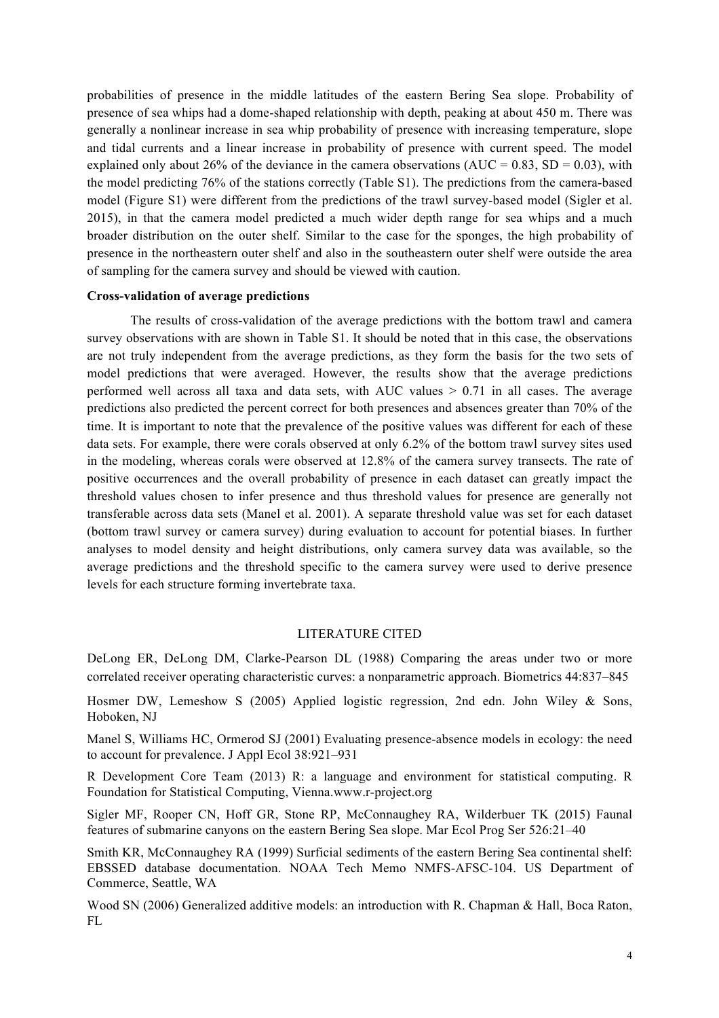probabilities of presence in the middle latitudes of the eastern Bering Sea slope. Probability of presence of sea whips had a dome-shaped relationship with depth, peaking at about 450 m. There was generally a nonlinear increase in sea whip probability of presence with increasing temperature, slope and tidal currents and a linear increase in probability of presence with current speed. The model explained only about 26% of the deviance in the camera observations (AUC =  $0.83$ , SD =  $0.03$ ), with the model predicting 76% of the stations correctly (Table S1). The predictions from the camera-based model (Figure S1) were different from the predictions of the trawl survey-based model (Sigler et al. 2015), in that the camera model predicted a much wider depth range for sea whips and a much broader distribution on the outer shelf. Similar to the case for the sponges, the high probability of presence in the northeastern outer shelf and also in the southeastern outer shelf were outside the area of sampling for the camera survey and should be viewed with caution.

## **Cross-validation of average predictions**

The results of cross-validation of the average predictions with the bottom trawl and camera survey observations with are shown in Table S1. It should be noted that in this case, the observations are not truly independent from the average predictions, as they form the basis for the two sets of model predictions that were averaged. However, the results show that the average predictions performed well across all taxa and data sets, with AUC values  $> 0.71$  in all cases. The average predictions also predicted the percent correct for both presences and absences greater than 70% of the time. It is important to note that the prevalence of the positive values was different for each of these data sets. For example, there were corals observed at only 6.2% of the bottom trawl survey sites used in the modeling, whereas corals were observed at 12.8% of the camera survey transects. The rate of positive occurrences and the overall probability of presence in each dataset can greatly impact the threshold values chosen to infer presence and thus threshold values for presence are generally not transferable across data sets (Manel et al. 2001). A separate threshold value was set for each dataset (bottom trawl survey or camera survey) during evaluation to account for potential biases. In further analyses to model density and height distributions, only camera survey data was available, so the average predictions and the threshold specific to the camera survey were used to derive presence levels for each structure forming invertebrate taxa.

## LITERATURE CITED

DeLong ER, DeLong DM, Clarke-Pearson DL (1988) Comparing the areas under two or more correlated receiver operating characteristic curves: a nonparametric approach. Biometrics 44:837–845

Hosmer DW, Lemeshow S (2005) Applied logistic regression, 2nd edn. John Wiley & Sons, Hoboken, NJ

Manel S, Williams HC, Ormerod SJ (2001) Evaluating presence-absence models in ecology: the need to account for prevalence. J Appl Ecol 38:921–931

R Development Core Team (2013) R: a language and environment for statistical computing. R Foundation for Statistical Computing, Vienna.www.r-project.org

Sigler MF, Rooper CN, Hoff GR, Stone RP, McConnaughey RA, Wilderbuer TK (2015) Faunal features of submarine canyons on the eastern Bering Sea slope. Mar Ecol Prog Ser 526:21–40

Smith KR, McConnaughey RA (1999) Surficial sediments of the eastern Bering Sea continental shelf: EBSSED database documentation. NOAA Tech Memo NMFS-AFSC-104. US Department of Commerce, Seattle, WA

Wood SN (2006) Generalized additive models: an introduction with R. Chapman & Hall, Boca Raton, FL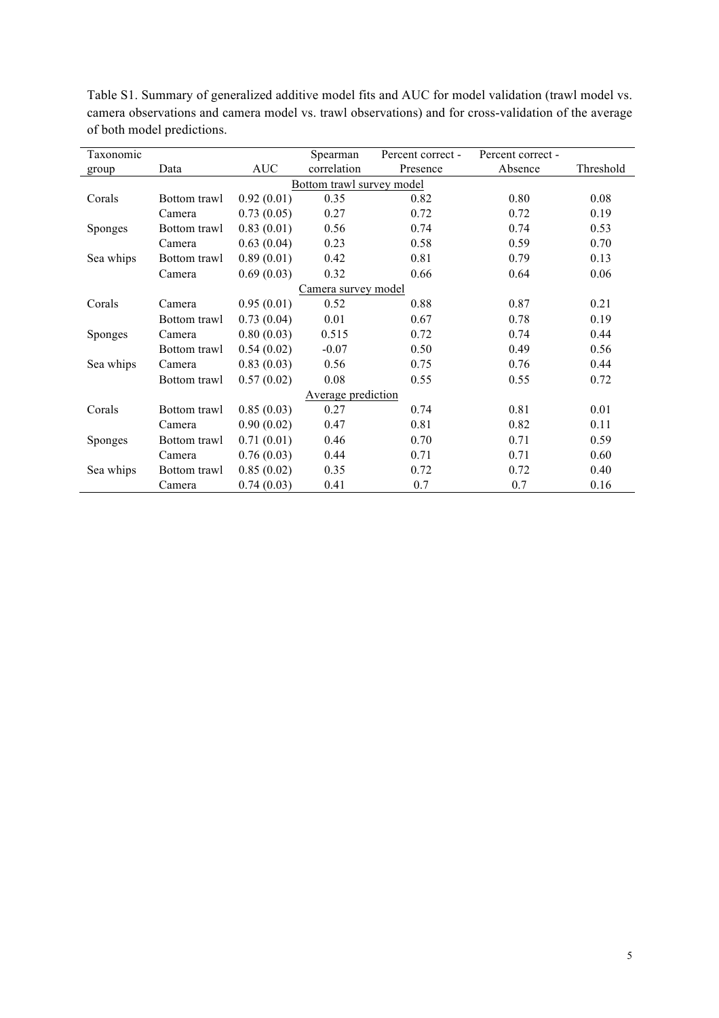| Taxonomic                 |              |            | Spearman    | Percent correct - | Percent correct - |           |  |  |  |
|---------------------------|--------------|------------|-------------|-------------------|-------------------|-----------|--|--|--|
| group                     | Data         | <b>AUC</b> | correlation | Presence          | Absence           | Threshold |  |  |  |
| Bottom trawl survey model |              |            |             |                   |                   |           |  |  |  |
| Corals                    | Bottom trawl | 0.92(0.01) | 0.35        | 0.82              | 0.80              | 0.08      |  |  |  |
|                           | Camera       | 0.73(0.05) | 0.27        | 0.72              | 0.72              | 0.19      |  |  |  |
| <b>Sponges</b>            | Bottom trawl | 0.83(0.01) | 0.56        | 0.74              | 0.74              | 0.53      |  |  |  |
|                           | Camera       | 0.63(0.04) | 0.23        | 0.58              | 0.59              | 0.70      |  |  |  |
| Sea whips                 | Bottom trawl | 0.89(0.01) | 0.42        | 0.81              | 0.79              | 0.13      |  |  |  |
|                           | Camera       | 0.69(0.03) | 0.32        | 0.66              | 0.64              | 0.06      |  |  |  |
| Camera survey model       |              |            |             |                   |                   |           |  |  |  |
| Corals                    | Camera       | 0.95(0.01) | 0.52        | 0.88              | 0.87              | 0.21      |  |  |  |
|                           | Bottom trawl | 0.73(0.04) | 0.01        | 0.67              | 0.78              | 0.19      |  |  |  |
| Sponges                   | Camera       | 0.80(0.03) | 0.515       | 0.72              | 0.74              | 0.44      |  |  |  |
|                           | Bottom trawl | 0.54(0.02) | $-0.07$     | 0.50              | 0.49              | 0.56      |  |  |  |
| Sea whips                 | Camera       | 0.83(0.03) | 0.56        | 0.75              | 0.76              | 0.44      |  |  |  |
|                           | Bottom trawl | 0.57(0.02) | 0.08        | 0.55              | 0.55              | 0.72      |  |  |  |
| Average prediction        |              |            |             |                   |                   |           |  |  |  |
| Corals                    | Bottom trawl | 0.85(0.03) | 0.27        | 0.74              | 0.81              | 0.01      |  |  |  |
|                           | Camera       | 0.90(0.02) | 0.47        | 0.81              | 0.82              | 0.11      |  |  |  |
| <b>Sponges</b>            | Bottom trawl | 0.71(0.01) | 0.46        | 0.70              | 0.71              | 0.59      |  |  |  |
|                           | Camera       | 0.76(0.03) | 0.44        | 0.71              | 0.71              | 0.60      |  |  |  |
| Sea whips                 | Bottom trawl | 0.85(0.02) | 0.35        | 0.72              | 0.72              | 0.40      |  |  |  |
|                           | Camera       | 0.74(0.03) | 0.41        | 0.7               | 0.7               | 0.16      |  |  |  |

Table S1. Summary of generalized additive model fits and AUC for model validation (trawl model vs. camera observations and camera model vs. trawl observations) and for cross-validation of the average of both model predictions.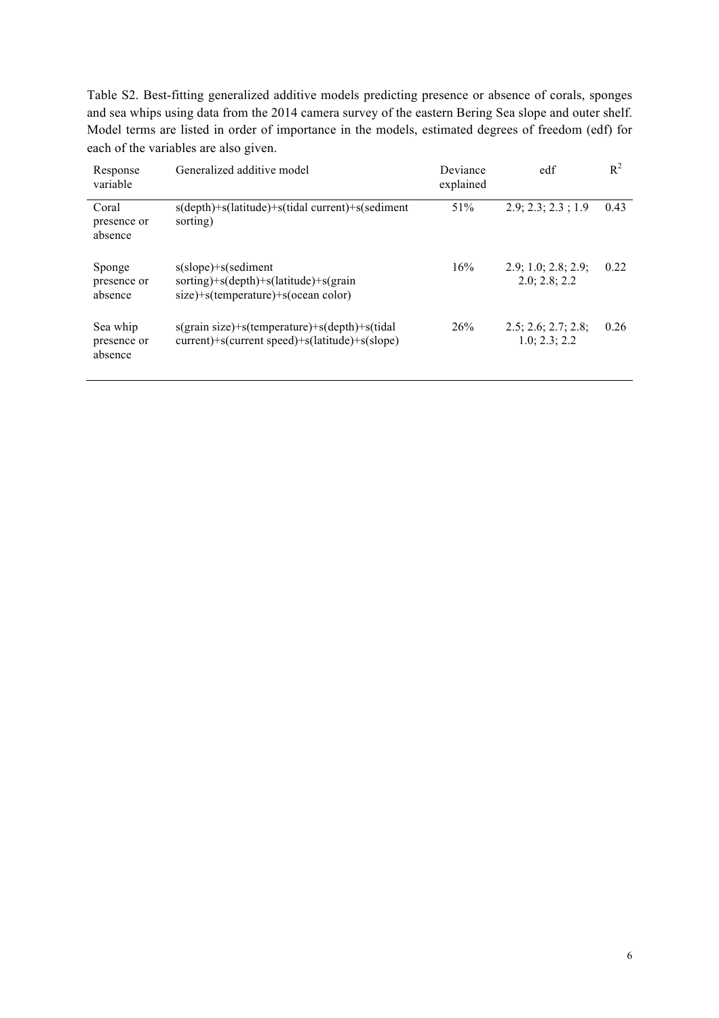Table S2. Best-fitting generalized additive models predicting presence or absence of corals, sponges and sea whips using data from the 2014 camera survey of the eastern Bering Sea slope and outer shelf. Model terms are listed in order of importance in the models, estimated degrees of freedom (edf) for each of the variables are also given.

| Response<br>variable               | Generalized additive model                                                                                    | Deviance<br>explained | edf                                  | $R^2$ |
|------------------------------------|---------------------------------------------------------------------------------------------------------------|-----------------------|--------------------------------------|-------|
| Coral<br>presence or<br>absence    | s(depth)+s(latitude)+s(tidal current)+s(sediment<br>sorting)                                                  | 51%                   | 2.9; 2.3; 2.3; 1.9                   | 0.43  |
| Sponge<br>presence or<br>absence   | $s(slope)+s(sediment)$<br>sorting)+s(depth)+s(latitude)+s(grain<br>$size)+s$ (temperature) $+s$ (ocean color) | 16%                   | 2.9; 1.0; 2.8; 2.9;<br>2.0; 2.8; 2.2 | 0.22  |
| Sea whip<br>presence or<br>absence | s(grain size)+s(temperature)+s(depth)+s(tidal<br>current)+s(current speed)+s(latitude)+s(slope)               | 26%                   | 2.5; 2.6; 2.7; 2.8;<br>1.0; 2.3; 2.2 | 0.26  |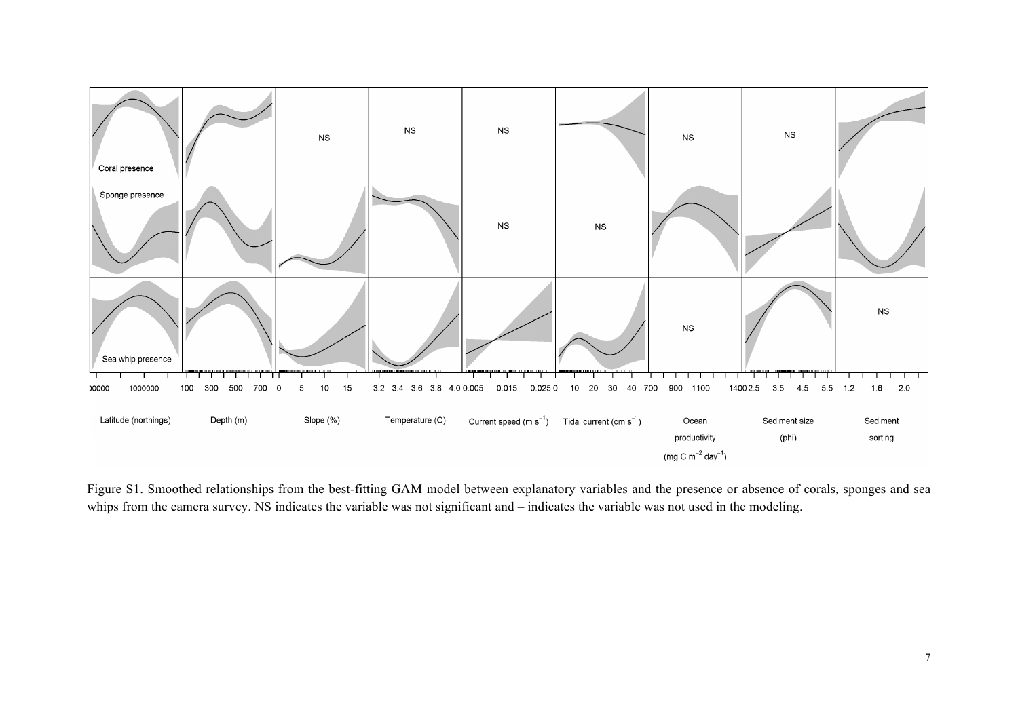

Figure S1. Smoothed relationships from the best-fitting GAM model between explanatory variables and the presence or absence of corals, sponges and sea whips from the camera survey. NS indicates the variable was not significant and – indicates the variable was not used in the modeling.